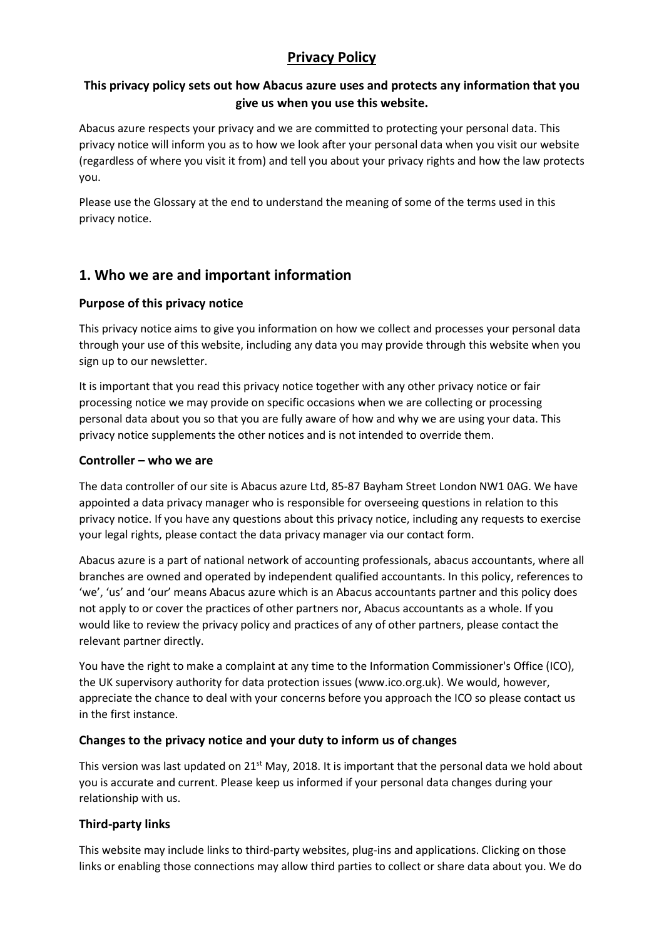## Privacy Policy

### This privacy policy sets out how Abacus azure uses and protects any information that you give us when you use this website.

Abacus azure respects your privacy and we are committed to protecting your personal data. This privacy notice will inform you as to how we look after your personal data when you visit our website (regardless of where you visit it from) and tell you about your privacy rights and how the law protects you.

Please use the Glossary at the end to understand the meaning of some of the terms used in this privacy notice.

## 1. Who we are and important information

### Purpose of this privacy notice

This privacy notice aims to give you information on how we collect and processes your personal data through your use of this website, including any data you may provide through this website when you sign up to our newsletter.

It is important that you read this privacy notice together with any other privacy notice or fair processing notice we may provide on specific occasions when we are collecting or processing personal data about you so that you are fully aware of how and why we are using your data. This privacy notice supplements the other notices and is not intended to override them.

### Controller – who we are

The data controller of our site is Abacus azure Ltd, 85-87 Bayham Street London NW1 0AG. We have appointed a data privacy manager who is responsible for overseeing questions in relation to this privacy notice. If you have any questions about this privacy notice, including any requests to exercise your legal rights, please contact the data privacy manager via our contact form.

Abacus azure is a part of national network of accounting professionals, abacus accountants, where all branches are owned and operated by independent qualified accountants. In this policy, references to 'we', 'us' and 'our' means Abacus azure which is an Abacus accountants partner and this policy does not apply to or cover the practices of other partners nor, Abacus accountants as a whole. If you would like to review the privacy policy and practices of any of other partners, please contact the relevant partner directly.

You have the right to make a complaint at any time to the Information Commissioner's Office (ICO), the UK supervisory authority for data protection issues (www.ico.org.uk). We would, however, appreciate the chance to deal with your concerns before you approach the ICO so please contact us in the first instance.

#### Changes to the privacy notice and your duty to inform us of changes

This version was last updated on  $21^{st}$  May, 2018. It is important that the personal data we hold about you is accurate and current. Please keep us informed if your personal data changes during your relationship with us.

### Third-party links

This website may include links to third-party websites, plug-ins and applications. Clicking on those links or enabling those connections may allow third parties to collect or share data about you. We do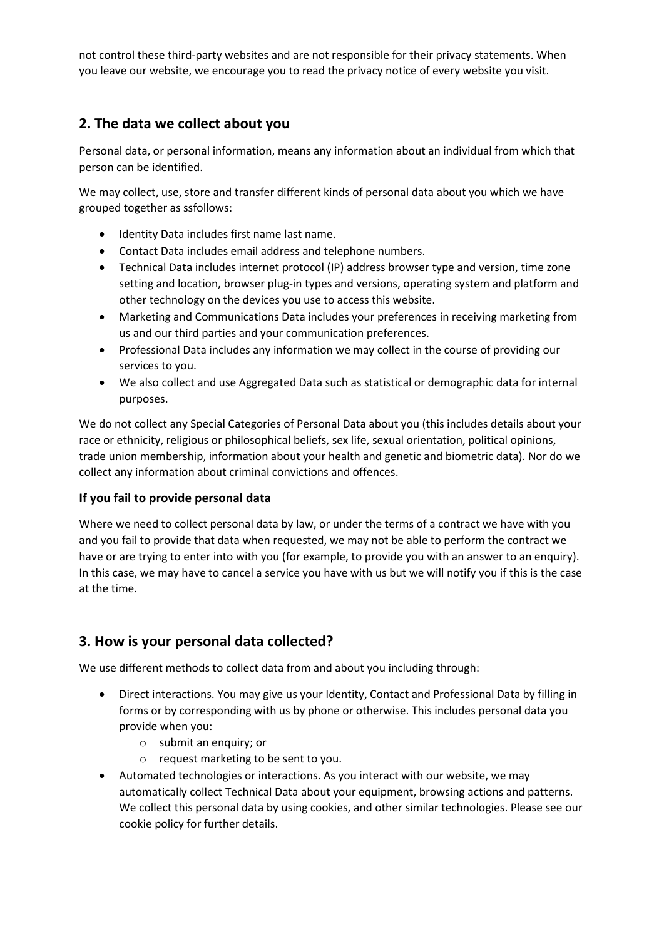not control these third-party websites and are not responsible for their privacy statements. When you leave our website, we encourage you to read the privacy notice of every website you visit.

## 2. The data we collect about you

Personal data, or personal information, means any information about an individual from which that person can be identified.

We may collect, use, store and transfer different kinds of personal data about you which we have grouped together as ssfollows:

- Identity Data includes first name last name.
- Contact Data includes email address and telephone numbers.
- Technical Data includes internet protocol (IP) address browser type and version, time zone setting and location, browser plug-in types and versions, operating system and platform and other technology on the devices you use to access this website.
- Marketing and Communications Data includes your preferences in receiving marketing from us and our third parties and your communication preferences.
- Professional Data includes any information we may collect in the course of providing our services to you.
- We also collect and use Aggregated Data such as statistical or demographic data for internal purposes.

We do not collect any Special Categories of Personal Data about you (this includes details about your race or ethnicity, religious or philosophical beliefs, sex life, sexual orientation, political opinions, trade union membership, information about your health and genetic and biometric data). Nor do we collect any information about criminal convictions and offences.

### If you fail to provide personal data

Where we need to collect personal data by law, or under the terms of a contract we have with you and you fail to provide that data when requested, we may not be able to perform the contract we have or are trying to enter into with you (for example, to provide you with an answer to an enquiry). In this case, we may have to cancel a service you have with us but we will notify you if this is the case at the time.

# 3. How is your personal data collected?

We use different methods to collect data from and about you including through:

- Direct interactions. You may give us your Identity, Contact and Professional Data by filling in forms or by corresponding with us by phone or otherwise. This includes personal data you provide when you:
	- o submit an enquiry; or
	- o request marketing to be sent to you.
- Automated technologies or interactions. As you interact with our website, we may automatically collect Technical Data about your equipment, browsing actions and patterns. We collect this personal data by using cookies, and other similar technologies. Please see our cookie policy for further details.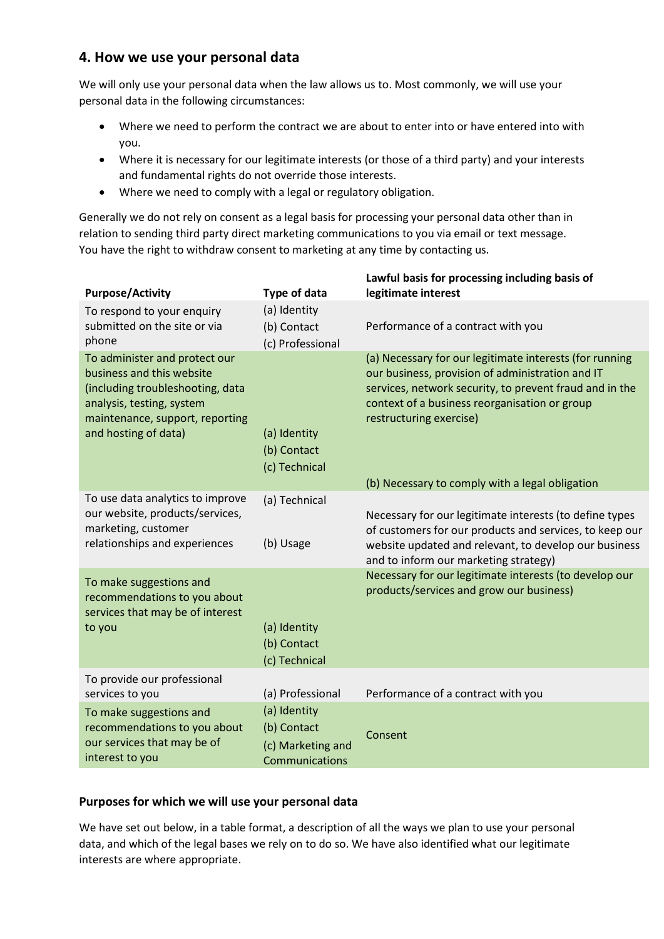# 4. How we use your personal data

We will only use your personal data when the law allows us to. Most commonly, we will use your personal data in the following circumstances:

- Where we need to perform the contract we are about to enter into or have entered into with you.
- Where it is necessary for our legitimate interests (or those of a third party) and your interests and fundamental rights do not override those interests.
- Where we need to comply with a legal or regulatory obligation.

Generally we do not rely on consent as a legal basis for processing your personal data other than in relation to sending third party direct marketing communications to you via email or text message. You have the right to withdraw consent to marketing at any time by contacting us.

| <b>Purpose/Activity</b>                                                                                                                                                                | <b>Type of data</b>                                                | Lawful basis for processing including basis of<br>legitimate interest                                                                                                                                                                              |
|----------------------------------------------------------------------------------------------------------------------------------------------------------------------------------------|--------------------------------------------------------------------|----------------------------------------------------------------------------------------------------------------------------------------------------------------------------------------------------------------------------------------------------|
| To respond to your enquiry<br>submitted on the site or via<br>phone                                                                                                                    | (a) Identity<br>(b) Contact<br>(c) Professional                    | Performance of a contract with you                                                                                                                                                                                                                 |
| To administer and protect our<br>business and this website<br>(including troubleshooting, data<br>analysis, testing, system<br>maintenance, support, reporting<br>and hosting of data) | (a) Identity<br>(b) Contact<br>(c) Technical                       | (a) Necessary for our legitimate interests (for running<br>our business, provision of administration and IT<br>services, network security, to prevent fraud and in the<br>context of a business reorganisation or group<br>restructuring exercise) |
| To use data analytics to improve<br>our website, products/services,<br>marketing, customer<br>relationships and experiences                                                            | (a) Technical<br>(b) Usage                                         | (b) Necessary to comply with a legal obligation<br>Necessary for our legitimate interests (to define types<br>of customers for our products and services, to keep our                                                                              |
|                                                                                                                                                                                        |                                                                    | website updated and relevant, to develop our business<br>and to inform our marketing strategy)                                                                                                                                                     |
| To make suggestions and<br>recommendations to you about<br>services that may be of interest<br>to you                                                                                  | (a) Identity<br>(b) Contact<br>(c) Technical                       | Necessary for our legitimate interests (to develop our<br>products/services and grow our business)                                                                                                                                                 |
| To provide our professional<br>services to you                                                                                                                                         | (a) Professional                                                   | Performance of a contract with you                                                                                                                                                                                                                 |
| To make suggestions and<br>recommendations to you about<br>our services that may be of<br>interest to you                                                                              | (a) Identity<br>(b) Contact<br>(c) Marketing and<br>Communications | Consent                                                                                                                                                                                                                                            |
|                                                                                                                                                                                        |                                                                    |                                                                                                                                                                                                                                                    |

#### Purposes for which we will use your personal data

We have set out below, in a table format, a description of all the ways we plan to use your personal data, and which of the legal bases we rely on to do so. We have also identified what our legitimate interests are where appropriate.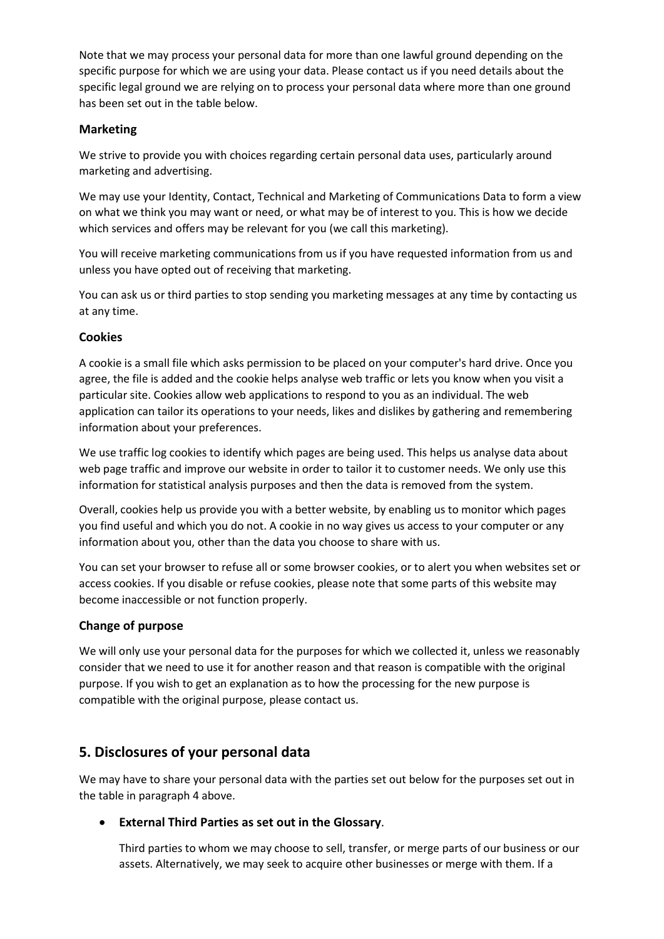Note that we may process your personal data for more than one lawful ground depending on the specific purpose for which we are using your data. Please contact us if you need details about the specific legal ground we are relying on to process your personal data where more than one ground has been set out in the table below.

### Marketing

We strive to provide you with choices regarding certain personal data uses, particularly around marketing and advertising.

We may use your Identity, Contact, Technical and Marketing of Communications Data to form a view on what we think you may want or need, or what may be of interest to you. This is how we decide which services and offers may be relevant for you (we call this marketing).

You will receive marketing communications from us if you have requested information from us and unless you have opted out of receiving that marketing.

You can ask us or third parties to stop sending you marketing messages at any time by contacting us at any time.

### Cookies

A cookie is a small file which asks permission to be placed on your computer's hard drive. Once you agree, the file is added and the cookie helps analyse web traffic or lets you know when you visit a particular site. Cookies allow web applications to respond to you as an individual. The web application can tailor its operations to your needs, likes and dislikes by gathering and remembering information about your preferences.

We use traffic log cookies to identify which pages are being used. This helps us analyse data about web page traffic and improve our website in order to tailor it to customer needs. We only use this information for statistical analysis purposes and then the data is removed from the system.

Overall, cookies help us provide you with a better website, by enabling us to monitor which pages you find useful and which you do not. A cookie in no way gives us access to your computer or any information about you, other than the data you choose to share with us.

You can set your browser to refuse all or some browser cookies, or to alert you when websites set or access cookies. If you disable or refuse cookies, please note that some parts of this website may become inaccessible or not function properly.

### Change of purpose

We will only use your personal data for the purposes for which we collected it, unless we reasonably consider that we need to use it for another reason and that reason is compatible with the original purpose. If you wish to get an explanation as to how the processing for the new purpose is compatible with the original purpose, please contact us.

## 5. Disclosures of your personal data

We may have to share your personal data with the parties set out below for the purposes set out in the table in paragraph 4 above.

### External Third Parties as set out in the Glossary.

Third parties to whom we may choose to sell, transfer, or merge parts of our business or our assets. Alternatively, we may seek to acquire other businesses or merge with them. If a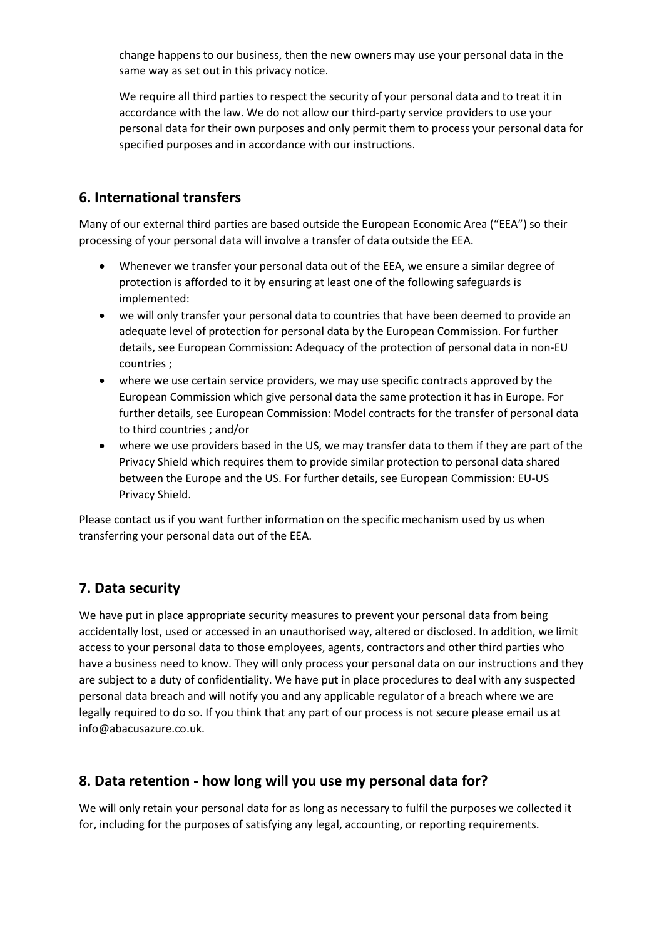change happens to our business, then the new owners may use your personal data in the same way as set out in this privacy notice.

We require all third parties to respect the security of your personal data and to treat it in accordance with the law. We do not allow our third-party service providers to use your personal data for their own purposes and only permit them to process your personal data for specified purposes and in accordance with our instructions.

## 6. International transfers

Many of our external third parties are based outside the European Economic Area ("EEA") so their processing of your personal data will involve a transfer of data outside the EEA.

- Whenever we transfer your personal data out of the EEA, we ensure a similar degree of protection is afforded to it by ensuring at least one of the following safeguards is implemented:
- we will only transfer your personal data to countries that have been deemed to provide an adequate level of protection for personal data by the European Commission. For further details, see European Commission: Adequacy of the protection of personal data in non-EU countries ;
- where we use certain service providers, we may use specific contracts approved by the European Commission which give personal data the same protection it has in Europe. For further details, see European Commission: Model contracts for the transfer of personal data to third countries ; and/or
- where we use providers based in the US, we may transfer data to them if they are part of the Privacy Shield which requires them to provide similar protection to personal data shared between the Europe and the US. For further details, see European Commission: EU-US Privacy Shield.

Please contact us if you want further information on the specific mechanism used by us when transferring your personal data out of the EEA.

# 7. Data security

We have put in place appropriate security measures to prevent your personal data from being accidentally lost, used or accessed in an unauthorised way, altered or disclosed. In addition, we limit access to your personal data to those employees, agents, contractors and other third parties who have a business need to know. They will only process your personal data on our instructions and they are subject to a duty of confidentiality. We have put in place procedures to deal with any suspected personal data breach and will notify you and any applicable regulator of a breach where we are legally required to do so. If you think that any part of our process is not secure please email us at info@abacusazure.co.uk.

# 8. Data retention - how long will you use my personal data for?

We will only retain your personal data for as long as necessary to fulfil the purposes we collected it for, including for the purposes of satisfying any legal, accounting, or reporting requirements.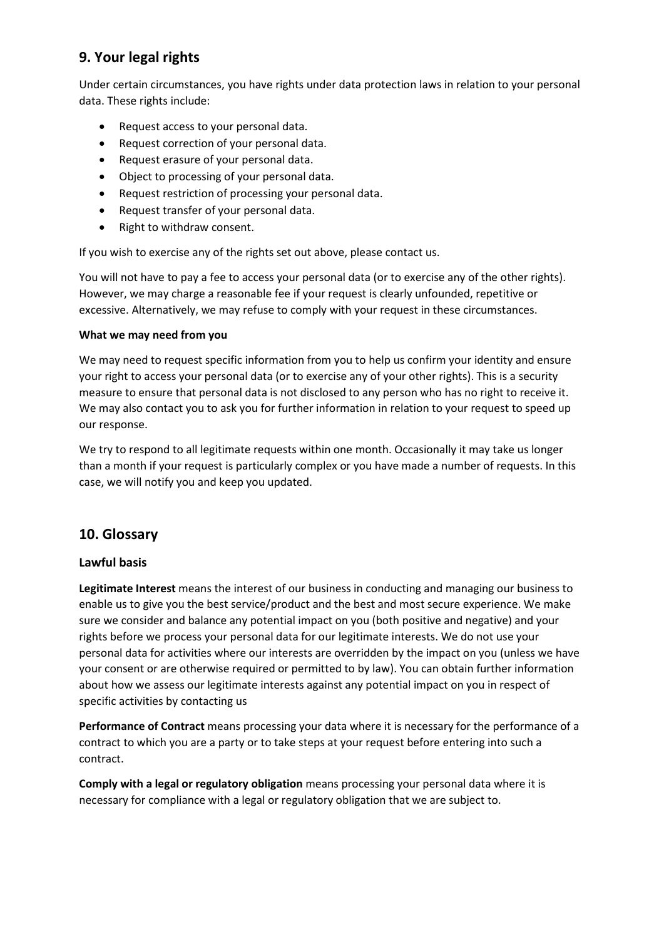# 9. Your legal rights

Under certain circumstances, you have rights under data protection laws in relation to your personal data. These rights include:

- Request access to your personal data.
- Request correction of your personal data.
- Request erasure of your personal data.
- Object to processing of your personal data.
- Request restriction of processing your personal data.
- Request transfer of your personal data.
- Right to withdraw consent.

If you wish to exercise any of the rights set out above, please contact us.

You will not have to pay a fee to access your personal data (or to exercise any of the other rights). However, we may charge a reasonable fee if your request is clearly unfounded, repetitive or excessive. Alternatively, we may refuse to comply with your request in these circumstances.

#### What we may need from you

We may need to request specific information from you to help us confirm your identity and ensure your right to access your personal data (or to exercise any of your other rights). This is a security measure to ensure that personal data is not disclosed to any person who has no right to receive it. We may also contact you to ask you for further information in relation to your request to speed up our response.

We try to respond to all legitimate requests within one month. Occasionally it may take us longer than a month if your request is particularly complex or you have made a number of requests. In this case, we will notify you and keep you updated.

## 10. Glossary

#### Lawful basis

Legitimate Interest means the interest of our business in conducting and managing our business to enable us to give you the best service/product and the best and most secure experience. We make sure we consider and balance any potential impact on you (both positive and negative) and your rights before we process your personal data for our legitimate interests. We do not use your personal data for activities where our interests are overridden by the impact on you (unless we have your consent or are otherwise required or permitted to by law). You can obtain further information about how we assess our legitimate interests against any potential impact on you in respect of specific activities by contacting us

Performance of Contract means processing your data where it is necessary for the performance of a contract to which you are a party or to take steps at your request before entering into such a contract.

Comply with a legal or regulatory obligation means processing your personal data where it is necessary for compliance with a legal or regulatory obligation that we are subject to.